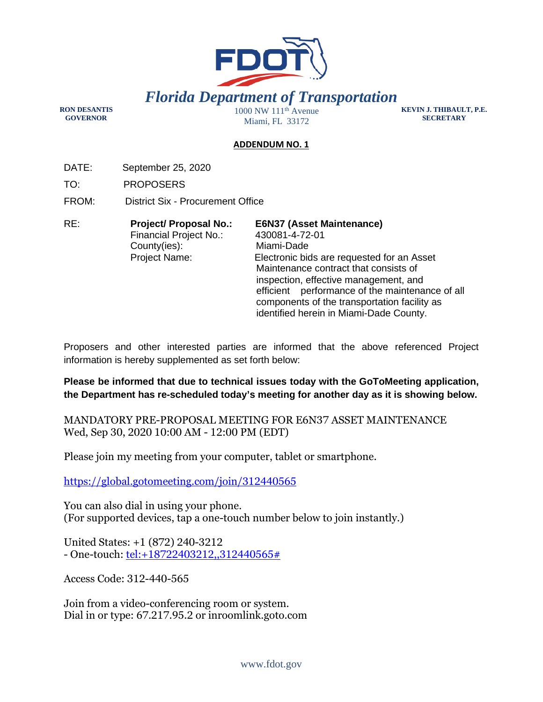

**RON DESANTIS GOVERNOR** 

Miami, FL 33172

**KEVIN J. THIBAULT, P.E. SECRETARY** 

## **ADDENDUM NO. 1**

DATE: September 25, 2020

TO: PROPOSERS

FROM: District Six - Procurement Office

| RE: | <b>Project/ Proposal No.:</b> | <b>E6N37 (Asset Maintenance)</b>                |
|-----|-------------------------------|-------------------------------------------------|
|     | Financial Project No.:        | 430081-4-72-01                                  |
|     | County(ies):                  | Miami-Dade                                      |
|     | <b>Project Name:</b>          | Electronic bids are requested for an Asset      |
|     |                               | Maintenance contract that consists of           |
|     |                               | inspection, effective management, and           |
|     |                               | efficient performance of the maintenance of all |
|     |                               | components of the transportation facility as    |
|     |                               | identified herein in Miami-Dade County.         |

Proposers and other interested parties are informed that the above referenced Project information is hereby supplemented as set forth below:

**Please be informed that due to technical issues today with the GoToMeeting application, the Department has re-scheduled today's meeting for another day as it is showing below.** 

MANDATORY PRE-PROPOSAL MEETING FOR E6N37 ASSET MAINTENANCE Wed, Sep 30, 2020 10:00 AM - 12:00 PM (EDT)

Please join my meeting from your computer, tablet or smartphone.

https://global.gotomeeting.com/join/312440565

You can also dial in using your phone. (For supported devices, tap a one-touch number below to join instantly.)

United States: +1 (872) 240-3212 - One-touch: tel: + 18722403212,,312440565#

Access Code: 312-440-565

Join from a video-conferencing room or system. Dial in or type: 67.217.95.2 or inroomlink.goto.com